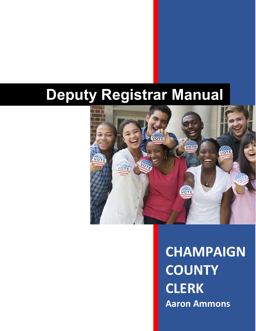# **Deputy Registrar Manual**



## **CHAMPAIGN COUNTY CLERK Aaron Ammons**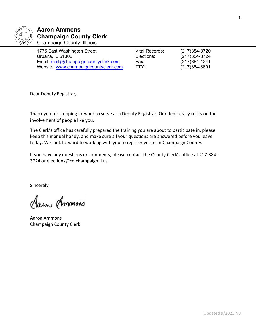

#### **Aaron Ammons Champaign County Clerk** Champaign County, Illinois

| 1776 East Washington Street           | Vital Records: | (217)384-3720     |
|---------------------------------------|----------------|-------------------|
| Urbana, IL 61802                      | Elections:     | (217)384-3724     |
| Email: mail@champaigncountyclerk.com  | Fax:           | (217) 384 - 1241  |
| Website: www.champaigncountyclerk.com | <b>TTY:</b>    | $(217)384 - 8601$ |

| ital Records: | $(217)384-37$   |
|---------------|-----------------|
| lections:     | $(217)384-37$   |
| ax:           | $(217)384-12$   |
| TY:           | $(217)384 - 86$ |

Dear Deputy Registrar,

Thank you for stepping forward to serve as a Deputy Registrar. Our democracy relies on the involvement of people like you.

The Clerk's office has carefully prepared the training you are about to participate in, please keep this manual handy, and make sure all your questions are answered before you leave today. We look forward to working with you to register voters in Champaign County.

If you have any questions or comments, please contact the County Clerk's office at 217-384- 3724 or elections@co.champaign.il.us.

Sincerely,

Aawn Ammors

Aaron Ammons Champaign County Clerk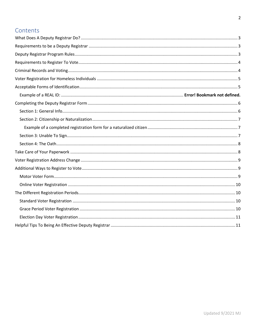### Contents

<span id="page-2-0"></span>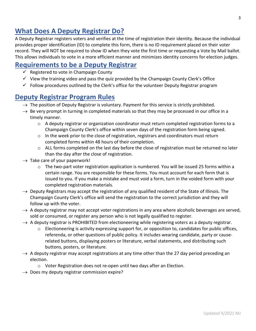## **What Does A Deputy Registrar Do?**

A Deputy Registrar registers voters and verifies at the time of registration their identity. Because the individual provides proper identification (ID) to complete this form, there is no ID requirement placed on their voter record. They will NOT be required to show ID when they vote the first time or requesting a Vote by Mail ballot. This allows individuals to vote in a more efficient manner and minimizes identity concerns for election judges.

## <span id="page-3-0"></span>**Requirements to be a Deputy Registrar**

- $\checkmark$  Registered to vote in Champaign County
- $\checkmark$  View the training video and pass the quiz provided by the Champaign County Clerk's Office
- $\checkmark$  Follow procedures outlined by the Clerk's office for the volunteer Deputy Registrar program

## <span id="page-3-1"></span>**Deputy Registrar Program Rules**

- $\rightarrow$  The position of Deputy Registrar is voluntary. Payment for this service is strictly prohibited.
- $\rightarrow$  Be very prompt in turning in completed materials so that they may be processed in our office in a timely manner.
	- $\circ$  A deputy registrar or organization coordinator must return completed registration forms to a Champaign County Clerk's office within seven days of the registration form being signed.
	- $\circ$  In the week prior to the close of registration, registrars and coordinators must return completed forms within 48 hours of their completion.
	- o ALL forms completed on the last day before the close of registration must be returned no later than the day after the close of registration.
- $\rightarrow$  Take care of your paperwork!
	- $\circ$  The two-part voter registration application is numbered. You will be issued 25 forms within a certain range. You are responsible for these forms. You must account for each form that is issued to you. If you make a mistake and must void a form, turn in the voided form with your completed registration materials.
- $\rightarrow$  Deputy Registrars may accept the registration of any qualified resident of the State of Illinois. The Champaign County Clerk's office will send the registration to the correct jurisdiction and they will follow up with the voter.
- $\rightarrow$  A deputy registrar may not accept voter registrations in any area where alcoholic beverages are served, sold or consumed, or register any person who is not legally qualified to register.
- $\rightarrow$  A deputy registrar is PROHIBITED from electioneering while registering voters as a deputy registrar.
	- $\circ$  Electioneering is activity expressing support for, or opposition to, candidates for public offices, referenda, or other questions of public policy. It includes wearing candidate, party or causerelated buttons, displaying posters or literature, verbal statements, and distributing such buttons, posters, or literature.
- $\rightarrow$  A deputy registrar may accept registrations at any time other than the 27 day period preceding an election.
	- o Voter Registration does not re-open until two days after an Election.
- $\rightarrow$  Does my deputy registrar commission expire?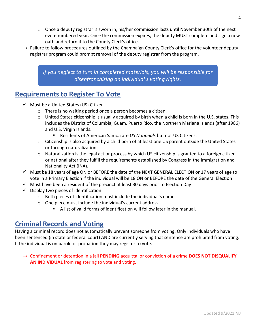- $\circ$  Once a deputy registrar is sworn in, his/her commission lasts until November 30th of the next even-numbered year. Once the commission expires, the deputy MUST complete and sign a new oath and return it to the County Clerk's office.
- $\rightarrow$  Failure to follow procedures outlined by the Champaign County Clerk's office for the volunteer deputy registrar program could prompt removal of the deputy registrar from the program.

*If you neglect to turn in completed materials, you will be responsible for disenfranchising an individual's voting rights.*

## <span id="page-4-0"></span>**Requirements to Register To Vote**

- $\checkmark$  Must be a United States (US) Citizen
	- o There is no waiting period once a person becomes a citizen.
	- o United States citizenship is usually acquired by birth when a child is born in the U.S. states. This includes the District of Columbia, Guam, Puerto Rico, the Northern Mariana Islands (after 1986) and U.S. Virgin Islands.
		- Residents of American Samoa are *US Nationals* but not US Citizens.
	- $\circ$  Citizenship is also acquired by a child born of at least one US parent outside the United States or through naturalization.
	- o Naturalization is the legal act or process by which US citizenship is granted to a foreign citizen or national after they fulfill the requirements established by Congress in the Immigration and Nationality Act (INA).
- Must be 18 years of age ON or BEFORE the date of the NEXT **GENERAL** ELECTION or 17 years of age to vote in a Primary Election if the individual will be 18 ON or BEFORE the date of the General Election
- $\checkmark$  Must have been a resident of the precinct at least 30 days prior to Election Day
- $\checkmark$  Display two pieces of identification
	- o Both pieces of identification must include the individual's name
	- o One piece must include the individual's current address
		- A list of valid forms of identification will follow later in the manual.

## <span id="page-4-1"></span>**Criminal Records and Voting**

Having a criminal record does not automatically prevent someone from voting. Only individuals who have been sentenced (in state or federal court) AND are currently serving that sentence are prohibited from voting. If the individual is on parole or probation they may register to vote.

→ Confinement or detention in a jail **PENDING** acquittal or conviction of a crime **DOES NOT DISQUALIFY AN INDIVIDUAL** from registering to vote and voting.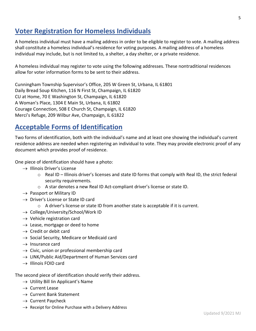## <span id="page-5-0"></span>**Voter Registration for Homeless Individuals**

A homeless individual must have a mailing address in order to be eligible to register to vote. A mailing address shall constitute a homeless individual's residence for voting purposes. A mailing address of a homeless individual may include, but is not limited to, a shelter, a day shelter, or a private residence.

A homeless individual may register to vote using the following addresses. These nontraditional residences allow for voter information forms to be sent to their address.

Cunningham Township Supervisor's Office, 205 W Green St, Urbana, IL 61801 Daily Bread Soup Kitchen, 116 N First St, Champaign, IL 61820 CU at Home, 70 E Washington St, Champaign, IL 61820 A Woman's Place, 1304 E Main St, Urbana, IL 61802 Courage Connection, 508 E Church St, Champaign, IL 61820 Merci's Refuge, 209 Wilbur Ave, Champaign, IL 61822

## <span id="page-5-1"></span>**Acceptable Forms of Identification**

Two forms of identification, both with the individual's name and at least one showing the individual's current residence address are needed when registering an individual to vote. They may provide electronic proof of any document which provides proof of residence.

One piece of identification should have a photo:

- $\rightarrow$  Illinois Driver's License
	- o Real ID Illinois driver's licenses and state ID forms that comply with Real ID, the strict federal security requirements.
	- o A star denotes a new Real ID Act-compliant driver's license or state ID.
- $\rightarrow$  Passport or Military ID
- $\rightarrow$  Driver's License or State ID card
	- $\circ$  A driver's license or state ID from another state is acceptable if it is current.
- $\rightarrow$  College/University/School/Work ID
- $\rightarrow$  Vehicle registration card
- $\rightarrow$  Lease, mortgage or deed to home
- $\rightarrow$  Credit or debit card
- $\rightarrow$  Social Security, Medicare or Medicaid card
- $\rightarrow$  Insurance card
- $\rightarrow$  Civic, union or professional membership card
- $\rightarrow$  LINK/Public Aid/Department of Human Services card
- $\rightarrow$  Illinois FOID card

The second piece of identification should verify their address.

- $\rightarrow$  Utility Bill Iin Applicant's Name
- $\rightarrow$  Current Lease
- $\rightarrow$  Current Bank Statement
- $\rightarrow$  Current Paycheck
- <span id="page-5-2"></span> $\rightarrow$  Receipt for Online Purchase with a Delivery Address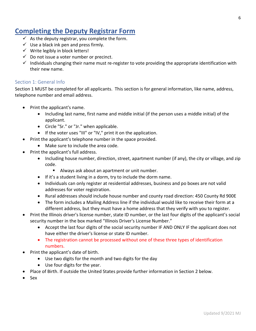## **Completing the Deputy Registrar Form**

- $\checkmark$  As the deputy registrar, you complete the form.
- $\checkmark$  Use a black ink pen and press firmly.
- $\checkmark$  Write legibly in block letters!
- $\checkmark$  Do not issue a voter number or precinct.
- $\checkmark$  Individuals changing their name must re-register to vote providing the appropriate identification with their new name.

#### <span id="page-6-0"></span>Section 1: General Info

Section 1 MUST be completed for all applicants. This section is for general information, like name, address, telephone number and email address.

- Print the applicant's name.
	- Including last name, first name and middle initial (if the person uses a middle initial) of the applicant.
	- Circle "Sr." or "Jr." when applicable.
	- If the voter uses "III" or "IV," print it on the application.
- Print the applicant's telephone number in the space provided.
	- Make sure to include the area code.
- Print the applicant's full address.
	- Including house number, direction, street, apartment number (if any), the city or village, and zip code.
		- Always ask about an apartment or unit number.
	- If it's a student living in a dorm, try to include the dorm name.
	- Individuals can only register at residential addresses, business and po boxes are not valid addresses for voter registration.
	- Rural addresses should include house number and county road direction: 450 County Rd 900E
	- The form includes a Mailing Address line if the individual would like to receive their form at a different address, but they must have a home address that they verify with you to register.
- Print the Illinois driver's license number, state ID number, or the last four digits of the applicant's social security number in the box marked "Illinois Driver's License Number."
	- Accept the last four digits of the social security number IF AND ONLY IF the applicant does not have either the driver's license or state ID number.
	- The registration cannot be processed without one of these three types of identification numbers.
- Print the applicant's date of birth.
	- Use two digits for the month and two digits for the day
	- Use four digits for the year.
- Place of Birth. If outside the United States provide further information in Section 2 below.
- Sex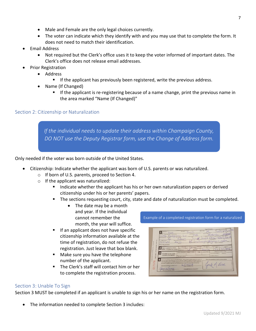- Male and Female are the only legal choices currently.
- The voter can indicate which they identify with and you may use that to complete the form. It does not need to match their identification.
- Email Address
	- Not required but the Clerk's office uses it to keep the voter informed of important dates. The Clerk's office does not release email addresses.
- Prior Registration
	- Address
		- **If the applicant has previously been registered, write the previous address.**
	- Name (If Changed)
		- If the applicant is re-registering because of a name change, print the previous name in the area marked "Name (If Changed)"

#### <span id="page-7-0"></span>Section 2: Citizenship or Naturalization

*If the individual needs to update their address within Champaign County, DO NOT use the Deputy Registrar form, use the Change of Address form.*

Only needed if the voter was born outside of the United States.

- Citizenship: Indicate whether the applicant was born of U.S. parents or was naturalized.
	- o If born of U.S. parents, proceed to Section 4.
	- $\circ$  If the applicant was naturalized:
		- Indicate whether the applicant has his or her own naturalization papers or derived citizenship under his or her parents' papers.
		- The sections requesting court, city, state and date of naturalization must be completed.
			- The date may be a month and year. If the individual cannot remember the month, the year will suffice.
		- If an applicant does not have specific citizenship information available at the time of registration, do not refuse the registration. Just leave that box blank.
		- **Make sure you have the telephone** number of the applicant.
		- The Clerk's staff will contact him or her to complete the registration process.

Example of a completed registration form for a naturalized

| oe<br>Street Address or County For No.<br>Annivoo<br>Kedgreen<br>234<br>PO Box<br>Maling Address:<br>ر<br>360<br>Date of Illetts<br>23169<br>Prior Registration: | Jack<br>LevAstNo.<br>298<br>$\overline{a}$<br>Z <sub>0</sub><br>City or Village<br>$t^{\infty}$<br>7692<br>Place of Birth, (State or Country)<br>orea<br>Address.                                                                                                                                                                                                                                                                                                          | City or Vilage<br>Ford & Digital O<br>L Driver's Lion<br>El mail Address<br>$\sim$ $\sim$<br>Name of Changed? |
|------------------------------------------------------------------------------------------------------------------------------------------------------------------|----------------------------------------------------------------------------------------------------------------------------------------------------------------------------------------------------------------------------------------------------------------------------------------------------------------------------------------------------------------------------------------------------------------------------------------------------------------------------|---------------------------------------------------------------------------------------------------------------|
| - USE BLACK BALL PORT PE<br>If born outside the United<br>States, complete this section:                                                                         | It Nu Lyanged<br><b>Coversité</b><br>Coun<br>Rom of U.S. Perent<br>Foderal<br>Naturalized                                                                                                                                                                                                                                                                                                                                                                                  | <b>Presents Papers C</b><br>Con his on D<br>Date<br>Stote<br>2289<br>eoria                                    |
| If unable to sign name<br>complete this section:                                                                                                                 | Heide<br><b>Mother's Fina Nama</b><br>Father's First Name<br>Distinguishing Marks                                                                                                                                                                                                                                                                                                                                                                                          | Reason for Installity To Sign<br>Color of Even<br>Payvical Disability O<br>Deeprice<br>Unable to Write D      |
| Subscribed and sworn to before my on<br>Signifize of Registration Officer                                                                                        | STATE OF ILLINGIS, COUNTY OF CHAWPAIGN. I hardly swear (or affirm) that I am a ottern of<br>the United States: that on the date of the next election I shall have rosided in the State of Finois and<br>in the election precinct in article I reside 30 cays and that I letterd that this location shell be my<br>permanent residence; that I am fully qualified to vote and that the above eleterrents are true.<br>ingert months (thu, write)<br><b>CHAMPAIGN COUNTY</b> | This is my signature or mark in the box below.                                                                |

#### <span id="page-7-1"></span>Section 3: Unable To Sign

Section 3 MUST be completed if an applicant is unable to sign his or her name on the registration form.

• The information needed to complete Section 3 includes: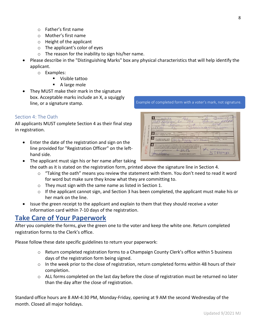Updated 9/2021 MJ

- o Father's first name
- o Mother's first name
- o Height of the applicant
- o The applicant's color of eyes
- o The reason for the inability to sign his/her name.
- Please describe in the "Distinguishing Marks" box any physical characteristics that will help identify the applicant.
	- o Examples:
		- Visible tattoo
		- A large mole
- They MUST make their mark in the signature box. Acceptable marks include an X, a squiggly line, or a signature stamp.

#### <span id="page-8-0"></span>Section 4: The Oath

All applicants MUST complete Section 4 as their final step in registration.

- Enter the date of the registration and sign on the line provided for "Registration Officer" on the lefthand side.
- TAMA

Example of completed form with a voter's mark, not signature.

- The applicant must sign his or her name after taking the oath as it is stated on the registration form, printed above the signature line in Section 4.
	- $\circ$  "Taking the oath" means you review the statement with them. You don't need to read it word for word but make sure they know what they are committing to.
	- o They must sign with the same name as listed in Section 1.
	- o If the applicant cannot sign, and Section 3 has been completed, the applicant must make his or her mark on the line.
	- Issue the green receipt to the applicant and explain to them that they should receive a voter information card within 7-10 days of the registration.

#### <span id="page-8-1"></span>**Take Care of Your Paperwork**

After you complete the forms, give the green one to the voter and keep the white one. Return completed registration forms to the Clerk's office.

Please follow these date specific guidelines to return your paperwork:

- $\circ$  Return completed registration forms to a Champaign County Clerk's office within 5 business days of the registration form being signed.
- o In the week prior to the close of registration, return completed forms within 48 hours of their completion.
- o ALL forms completed on the last day before the close of registration must be returned no later than the day after the close of registration.

Standard office hours are 8 AM-4:30 PM, Monday-Friday, opening at 9 AM the second Wednesday of the month. Closed all major holidays.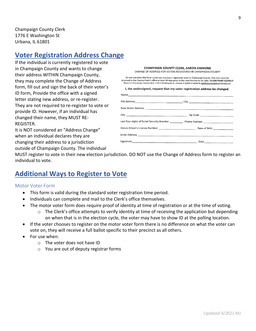Champaign County Clerk 1776 E Washington St Urbana, IL 61801

## <span id="page-9-0"></span>**Voter Registration Address Change**

If the individual is currently registered to vote in Champaign County and wants to change their address WITHIN Champaign County, they may complete the Change of Address form, fill out and sign the back of their voter's ID form, Provide the office with a signed letter stating new address, or re-register. They are not required to re-register to vote or provide ID. However, if an individual has changed their name, they MUST RE-REGISTER.

It is NOT considered an "Address Change" when an individual declares they are changing their address to a jurisdiction outside of Champaign County. The individual

**CHAMPAIGN COUNTY CLERK, AARON AMMONS** CHANGE OF ADDRESS FOR VOTERS REGISTERED IN CHAMPAIGN COUNTY

Do not complete this form unless you are now a registered voter in Champaign County. This form must be returned to the Country Cierk's office at least 28 days prior to the next election to be valid. PLEASE PRINT CLEARLY!<br>Return to Champaign County Cierk's office at least 28 days prior to the next election to be valid. PLEAS

I, the undersigned, request that my voter registration address be changed.

| Last four digits of Social Security Number ______________ Phone Number ____________________________ |
|-----------------------------------------------------------------------------------------------------|
|                                                                                                     |
|                                                                                                     |
|                                                                                                     |
|                                                                                                     |

MUST register to vote in their new election jurisdiction. DO NOT use the Change of Address form to register an individual to vote.

## <span id="page-9-1"></span>**Additional Ways to Register to Vote**

#### <span id="page-9-2"></span>Motor Voter Form

- This form is valid during the standard voter registration time period.
- Individuals can complete and mail to the Clerk's office themselves.
- The motor voter form does require proof of identity at time of registration or at the time of voting.
	- $\circ$  The Clerk's office attempts to verify identity at time of receiving the application but depending on when that is in the election cycle, the voter may have to show ID at the polling location.
- If the voter chooses to register on the motor voter form there is no difference on what the voter can vote on, they will receive a full ballot specific to their precinct as all others.
- For use when:
	- o The voter does not have ID
	- o You are out of deputy registrar forms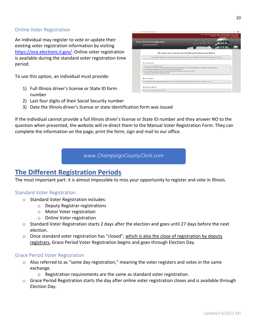#### <span id="page-10-0"></span>Online Voter Registration

An individual may register to vote or update their existing voter registration information by visiting [https://ova.elections.il.gov/.](https://ova.elections.il.gov/) Online voter registration is available during the standard voter registration time period.

To use this option, an individual must provide:

- 1) Full Illinois driver's license or State ID form number
- 2) Last four digits of their Social Security number
- 3) Date the Illinois driver's license or state identification form was issued

If the individual cannot provide a full Illinois driver's license or State ID number and they answer NO to the question when presented, the website will re-direct them to the Manual Voter Registration Form. They can complete the information on the page, print the form, sign and mail to our office.

*www.ChampaignCountyClerk.com*

## <span id="page-10-1"></span>**The Different Registration Periods**

The most important part: it is almost impossible to miss your opportunity to register and vote in Illinois.

#### <span id="page-10-2"></span>Standard Voter Registration

- o Standard Voter Registration includes:
	- o Deputy Registrar registrations
	- o Motor Voter registration
	- o Online Voter registration
- o Standard Voter Registration starts 2 days after the election and goes until 27 days before the next election.
- $\circ$  Once standard voter registration has "closed", which is also the close of registration by deputy registrars, Grace Period Voter Registration begins and goes through Election Day.

#### <span id="page-10-3"></span>Grace Period Voter Registration

- o Also referred to as "same day registration," meaning the voter registers and votes in the same exchange.
	- $\circ$  Registration requirements are the same as standard voter registration.
- o Grace Period Registration starts the day after online voter registration closes and is available through Election Day.

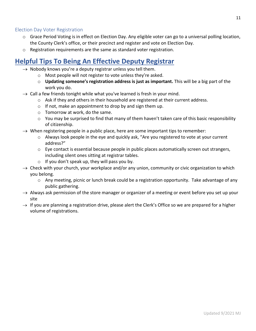#### <span id="page-11-0"></span>Election Day Voter Registration

- o Grace Period Voting is in effect on Election Day. Any eligible voter can go to a universal polling location, the County Clerk's office, or their precinct and register and vote on Election Day.
- $\circ$  Registration requirements are the same as standard voter registration.

## <span id="page-11-1"></span>**Helpful Tips To Being An Effective Deputy Registrar**

- $\rightarrow$  Nobody knows you're a deputy registrar unless you tell them.
	- o Most people will not register to vote unless they're asked.
	- o **Updating someone's registration address is just as important.** This will be a big part of the work you do.
- $\rightarrow$  Call a few friends tonight while what you've learned is fresh in your mind.
	- $\circ$  Ask if they and others in their household are registered at their current address.
	- $\circ$  If not, make an appointment to drop by and sign them up.
	- o Tomorrow at work, do the same.
	- $\circ$  You may be surprised to find that many of them haven't taken care of this basic responsibility of citizenship.
- $\rightarrow$  When registering people in a public place, here are some important tips to remember:
	- $\circ$  Always look people in the eye and quickly ask, "Are you registered to vote at your current address?"
	- o Eye contact is essential because people in public places automatically screen out strangers, including silent ones sitting at registrar tables.
	- $\circ$  If you don't speak up, they will pass you by.
- $\rightarrow$  Check with your church, your workplace and/or any union, community or civic organization to which you belong.
	- $\circ$  Any meeting, picnic or lunch break could be a registration opportunity. Take advantage of any public gathering.
- $\rightarrow$  Always ask permission of the store manager or organizer of a meeting or event before you set up your site
- $\rightarrow$  If you are planning a registration drive, please alert the Clerk's Office so we are prepared for a higher volume of registrations.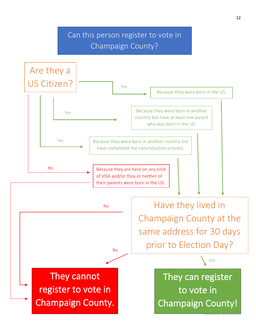## Can this person register to vote in Champaign County?